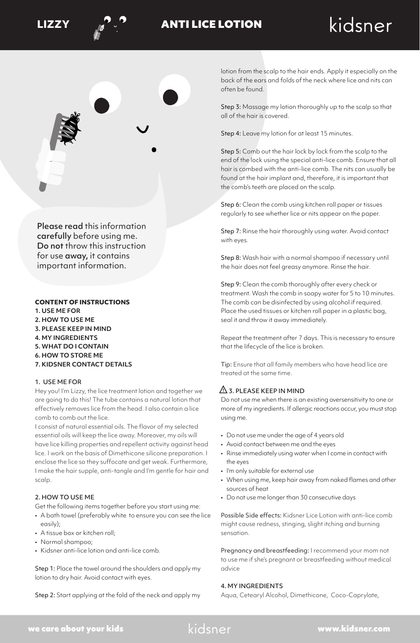



## **LIZZY** ANTI LICE LOTION

# kidsner



Please read this information carefully before using me. Do not throw this instruction for use away, it contains important information.

#### **CONTENT OF INSTRUCTIONS**

- **1. USE ME FOR**
- **2. HOW TO USE ME**
- **3. PLEASE KEEP IN MIND**
- **4. MY INGREDIENTS**
- **5. WHAT DO I CONTAIN**
- **6. HOW TO STORE ME**
- **7. KIDSNER CONTACT DETAILS**

#### 1. USE ME FOR

Hey you! I'm Lizzy, the lice treatment lotion and together we are going to do this! The tube contains a natural lotion that effectively removes lice from the head. I also contain a lice comb to comb out the lice.

I consist of natural essential oils. The flavor of my selected essential oils will keep the lice away. Moreover, my oils will have lice killing properties and repellent activity against head lice. I work on the basis of Dimethicone silicone preparation. I enclose the lice so they suffocate and get weak. Furthermore, I make the hair supple, anti-tangle and I'm gentle for hair and scalp.

#### 2. HOW TO USE ME

Get the following items together before you start using me:

- A bath towel (preferably white to ensure you can see the lice easily);
- A tissue box or kitchen roll;
- Normal shampoo;
- Kidsner anti-lice lotion and anti-lice comb.

Step 1: Place the towel around the shoulders and apply my lotion to dry hair. Avoid contact with eyes.

Step 2: Start applying at the fold of the neck and apply my

lotion from the scalp to the hair ends. Apply it especially on the back of the ears and folds of the neck where lice and nits can often be found.

Step 3: Massage my lotion thoroughly up to the scalp so that all of the hair is covered.

Step 4: Leave my lotion for at least 15 minutes.

Step 5: Comb out the hair lock by lock from the scalp to the end of the lock using the special anti-lice comb. Ensure that all hair is combed with the anti-lice comb. The nits can usually be found at the hair implant and, therefore, it is important that the comb's teeth are placed on the scalp.

Step 6: Clean the comb using kitchen roll paper or tissues regularly to see whether lice or nits appear on the paper.

Step 7: Rinse the hair thoroughly using water. Avoid contact with eyes.

Step 8: Wash hair with a normal shampoo if necessary until the hair does not feel greasy anymore. Rinse the hair.

Step 9: Clean the comb thoroughly after every check or treatment. Wash the comb in soapy water for 5 to 10 minutes. The comb can be disinfected by using alcohol if required. Place the used tissues or kitchen roll paper in a plastic bag, seal it and throw it away immediately.

Repeat the treatment after 7 days. This is necessary to ensure that the lifecycle of the lice is broken.

Tip: Ensure that all family members who have head lice are treated at the same time.

## $\Delta$  3. PLEASE KEEP IN MIND

Do not use me when there is an existing oversensitivity to one or more of my ingredients. If allergic reactions occur, you must stop using me.

- Do not use me under the age of 4 years old
- Avoid contact between me and the eyes
- Rinse immediately using water when I come in contact with the eyes
- I'm only suitable for external use
- When using me, keep hair away from naked flames and other sources of heat
- Do not use me longer than 30 consecutive days

Possible Side effects: Kidsner Lice Lotion with anti-lice comb might cause redness, stinging, slight itching and burning sensation.

Pregnancy and breastfeeding: I recommend your mom not to use me if she's pregnant or breastfeeding without medical advice

#### 4. MY INGREDIENTS

Aqua, Cetearyl Alcohol, Dimethicone, Coco-Caprylate,